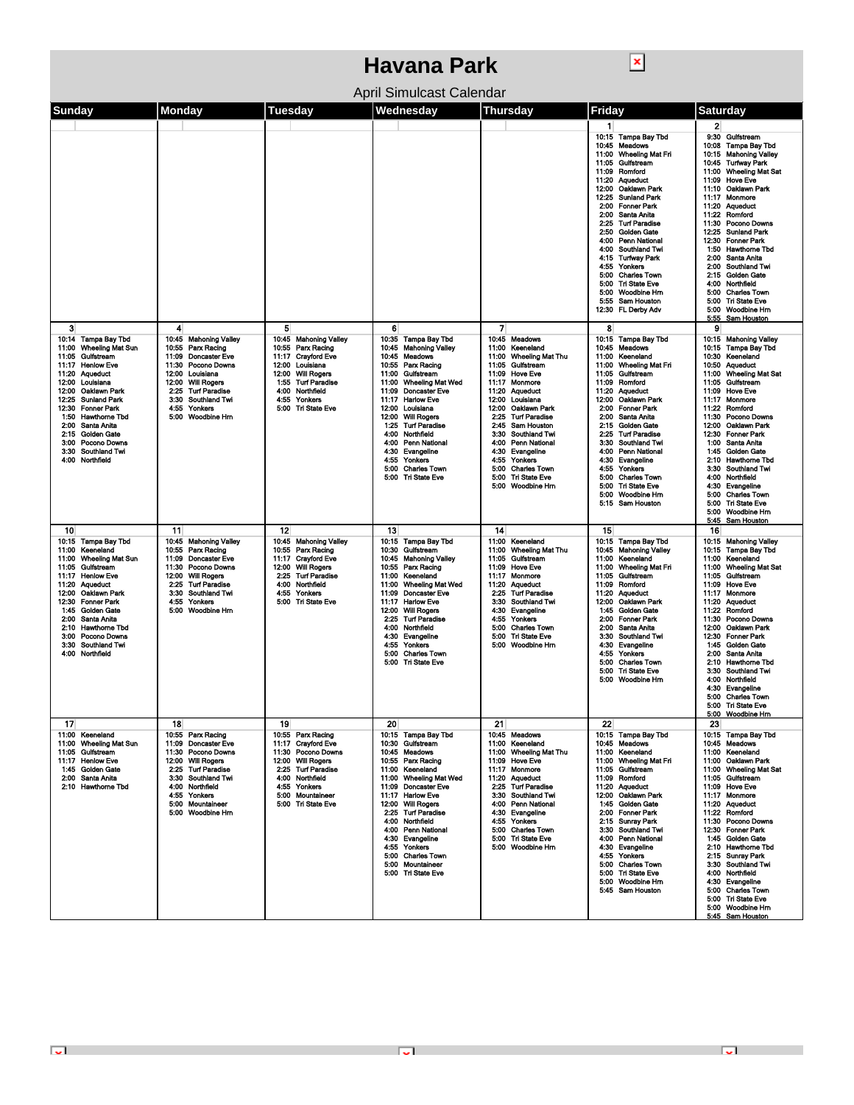## **Havana Park**

 $\boxed{\mathbf{x}}$ 

| April Simulcast Calendar |  |  |  |  |  |  |  |
|--------------------------|--|--|--|--|--|--|--|
|--------------------------|--|--|--|--|--|--|--|

| Sunday                                                                                                                                                                                                                                                                                                                                               | Monday                                                                                                                                                                                                                                  | Tuesday                                                                                                                                                                                                                   | Wednesday                                                                                                                                                                                                                                                                                                                                                                                                                     | Thursday                                                                                                                                                                                                                                                                                                                                                                                                                                                             | Friday                                                                                                                                                                                                                                                                                                                                                                                                                                                                                                                                | <b>Saturday</b>                                                                                                                                                                                                                                                                                                                                                                                                                                                                                                                                                                                            |
|------------------------------------------------------------------------------------------------------------------------------------------------------------------------------------------------------------------------------------------------------------------------------------------------------------------------------------------------------|-----------------------------------------------------------------------------------------------------------------------------------------------------------------------------------------------------------------------------------------|---------------------------------------------------------------------------------------------------------------------------------------------------------------------------------------------------------------------------|-------------------------------------------------------------------------------------------------------------------------------------------------------------------------------------------------------------------------------------------------------------------------------------------------------------------------------------------------------------------------------------------------------------------------------|----------------------------------------------------------------------------------------------------------------------------------------------------------------------------------------------------------------------------------------------------------------------------------------------------------------------------------------------------------------------------------------------------------------------------------------------------------------------|---------------------------------------------------------------------------------------------------------------------------------------------------------------------------------------------------------------------------------------------------------------------------------------------------------------------------------------------------------------------------------------------------------------------------------------------------------------------------------------------------------------------------------------|------------------------------------------------------------------------------------------------------------------------------------------------------------------------------------------------------------------------------------------------------------------------------------------------------------------------------------------------------------------------------------------------------------------------------------------------------------------------------------------------------------------------------------------------------------------------------------------------------------|
|                                                                                                                                                                                                                                                                                                                                                      |                                                                                                                                                                                                                                         |                                                                                                                                                                                                                           |                                                                                                                                                                                                                                                                                                                                                                                                                               |                                                                                                                                                                                                                                                                                                                                                                                                                                                                      | $\mathbf{1}$<br>10:15 Tampa Bay Tbd<br>10:45<br><b>Meadows</b><br><b>Wheeling Mat Fri</b><br>11:00<br>Gulfstream<br>11:05<br>Romford<br>11:09<br>11:20<br><b>Aqueduct</b><br>12:00<br>Oaklawn Park<br>12:25<br><b>Sunland Park</b><br>2:00 Fonner Park<br>2:00 Santa Anita<br><b>Turf Paradise</b><br>2.25<br>2:50 Golden Gate<br>4:00 Penn National<br>4:00 Southland Twi<br>4:15 Turfway Park<br>4:55<br>Yonkers<br>5:00<br><b>Charles Town</b><br>5:00 Tri State Eve<br>5:00 Woodbine Hm<br>5:55 Sam Houston<br>12:30 FL Derby Adv | 2<br>9:30 Gulfstream<br>10:08 Tampa Bay Tbd<br>10:15 Mahoning Valley<br>10:45 Turfway Park<br><b>Wheeling Mat Sat</b><br>11:00<br>11:09<br><b>Hove Eve</b><br>11:10 Oaklawn Park<br>11:17<br>Monmore<br>11:20<br><b>Aqueduct</b><br>11:22<br>Romford<br>11:30<br>Pocono Downs<br>12:25<br><b>Suniand Park</b><br>12:30<br><b>Fonner Park</b><br>1:50<br><b>Hawthome Tbd</b><br>2:00<br>Santa Anita<br>2:00<br><b>Southland Twi</b><br><b>Golden Gate</b><br>2:15<br>4:00<br>Northfield<br>5:00<br><b>Charles Town</b><br><b>Tri State Eve</b><br>5:00<br>5:00<br>Woodbine Hm<br>5:55<br><b>Sam Houston</b> |
| 3<br>10:14 Tampa Bay Tbd<br>11:00<br>Wheeling Mat Sun<br>Gulfstream<br>11:05<br>11:17 Henlow Eve<br>11:20 Aqueduct<br>12:00 Louisiana<br>12:00 Oaklawn Park<br>12:25<br>Sunland Park<br>12:30 Fonner Park<br>1:50<br>Hawthome Tbd<br>Santa Anita<br>2:00<br>2:15<br><b>Golden Gate</b><br>3:00 Pocono Downs<br>3:30 Southland Twi<br>4:00 Northfield | 4<br>10:45 Mahoning Valley<br>10.55<br>Parx Racing<br><b>Doncaster Eve</b><br>11:09<br>11:30 Pocono Downs<br>12:00 Louisiana<br>12:00 Will Rogers<br>2:25 Turf Paradise<br>3:30<br>Southland Twi<br>4:55<br>Yonkers<br>5:00 Woodbine Hm | 5<br>10:45<br><b>Mahoning Valley</b><br>10:55<br>Parx Racing<br>11:17 Crayford Eve<br>12:00 Louisiana<br>12:00<br><b>Will Rogers</b><br>1:55 Turf Paradise<br>4:00<br>Northfield<br>Yonkers<br>4:55<br>5:00 Tri State Eve | 6<br>10:35 Tampa Bay Tbd<br>10:45 Mahoning Valley<br>10:45 Meadows<br>10:55 Parx Racing<br>11:00 Gulfstream<br><b>Wheeling Mat Wed</b><br>11:00<br>11:09<br><b>Doncaster Eve</b><br>11:17<br><b>Harlow Eve</b><br>12:00 Louisiana<br>12:00 Will Rogers<br>1:25<br><b>Turf Paradise</b><br>4:00<br>Northfield<br>4:00 Penn National<br>4:30 Evangeline<br>Yonkers<br>4:55<br>5:00<br><b>Charles Town</b><br>5:00 Tri State Eve | $\overline{7}$<br>10:45<br>Meadows<br>11:00<br>Keeneland<br><b>Wheeling Mat Thu</b><br>11:00<br>Gulfstream<br>11:05<br>11:09 Hove Eve<br>Monmore<br>11:17<br>11:20 Aqueduct<br>12:00 Louisiana<br>12:00 Oaklawn Park<br>2:25<br><b>Turf Paradise</b><br>2:45<br><b>Sam Houston</b><br><b>Southland Twi</b><br>3:30<br>4:00<br><b>Penn National</b><br>Evangeline<br>4:30<br>4:55<br>Yonkers<br>5:00<br><b>Charles Town</b><br>5:00 Tri State Eve<br>5:00 Woodbine Hm | 8<br>10:15<br><b>Tampa Bay Tbd</b><br>10:45<br>Meadows<br>Keeneland<br>11:00<br>11:00 Wheeling Mat Fri<br>11:05 Gulfstream<br>Romford<br>11:09<br>11:20 Aqueduct<br>12:00 Oaklawn Park<br>2:00 Fonner Park<br>2:00 Santa Anita<br>2:15 Golden Gate<br>2:25 Turf Paradise<br>3:30 Southland Twi<br>4:00 Penn National<br>4:30 Evangeline<br>4:55 Yonkers<br><b>Charles Town</b><br>5:00<br>5:00 Tri State Eve<br>5:00 Woodbine Hrn<br>5:15 Sam Houston                                                                                 | 9<br>10:15 Mahoning Valley<br>10:15 Tampa Bay Tbd<br>10:30 Keeneland<br>10:50 Aqueduct<br>11:00 Wheeling Mat Sat<br>11:05 Gulfstream<br>11:09<br><b>Hove Eve</b><br>Monmore<br>11:17<br>11:22<br>Romford<br>11:30<br>Pocono Downs<br>12:00<br>Oaklawn Park<br>12:30<br><b>Fonner Park</b><br>1:00<br>Santa Anita<br>Golden Gate<br>1:45<br>2:10<br><b>Hawthome Tbd</b><br>3:30<br><b>Southland Twi</b><br>4:00<br>Northfield<br>4:30<br>Evangeline<br>5:00<br><b>Charles Town</b><br><b>Tri State Eve</b><br>5:00<br>5:00 Woodbine Hm<br>5:45 Sam Houston                                                  |
| 10<br>10:15 Tampa Bay Tbd<br>11:00<br>Keeneland<br>11:00<br><b>Wheeling Mat Sun</b><br>11:05<br>Gulfstroam<br>11:17 Henlow Eve<br>11:20 Aqueduct<br>Oaklawn Park<br>12:00<br>12:30 Fonner Park<br>1:45 Golden Gate<br>2:00 Santa Anita<br>2:10 Hawthome Tbd<br>Pocono Downs<br>3:00<br>3:30<br>Southland Twi<br>4:00 Northfield                      | 11<br>10:45 Mahoning Valley<br>10:55<br>Parx Racing<br>11:09 Doncaster Eve<br>11:30 Pocono Downs<br>12:00 Will Rogers<br>2:25 Turf Paradise<br>3:30<br><b>Southland Twi</b><br>4:55<br>Yonkers<br>5.00 Woodbine Hm                      | 12<br>10:45 Mahoning Valley<br>Parx Racing<br>10:55<br><b>Crayford Eve</b><br>11:17<br>12:00 Will Rogers<br>2:25<br><b>Turf Paradise</b><br>4:00<br>Northfield<br>4:55<br>Yonkers<br>5:00 Tri State Eve                   | 13<br>10:15 Tampa Bay Tbd<br>10:30 Guifstream<br>10:45 Mahoning Valley<br>10:55 Parx Racing<br>11:00 Keeneland<br>11:00<br><b>Wheeling Mat Wed</b><br><b>Doncaster Eve</b><br>11:09<br>11:17 Harlow Eve<br>12:00 Will Rogers<br>2:25<br>Turi Paradise<br>4:00<br>Northfield<br>Evangeline<br>4:30<br>4.55<br>Yonkers<br>5:00<br><b>Charles Town</b><br>5:00 Tri State Eve                                                     | 14<br>11:00 Keeneland<br><b>Wheeling Mat Thu</b><br>11:00<br>Gulfstream<br>11:05<br>11:09<br>Hove Eve<br>11:17<br>Monmore<br>11:20 Aqueduct<br><b>Turt Paradise</b><br>2:25<br>3:30<br><b>Southland Twi</b><br>Evangeline<br>4:30<br>Yonkers<br>4:55<br>5:00<br><b>Charles Town</b><br><b>Tri State Eve</b><br>5:00<br>5:00 Woodbine Hm                                                                                                                              | 15<br>10:15 Tampa Bay Tbd<br>10:45 Mahoning Valley<br>11:00<br>Keeneland<br>11:00 Wheeling Mat Fri<br>11:05<br>Gulfstream<br>11:09<br>Romford<br>11:20 Aqueduct<br>12:00 Oaklawn Park<br>1:45 Golden Gate<br>2:00 Fonner Park<br>2:00 Santa Anita<br>Southland Twi<br>3:30<br>4.30<br>Evangeline<br>4:55 Yonkers<br><b>Charles Town</b><br>5.00<br>5:00 Tri State Eve<br>5:00 Woodbine Hm                                                                                                                                             | 16<br>10:15 Mahoning Valley<br>10:15 Tampa Bay Tbd<br>11:00<br>Keeneland<br>11:00<br><b>Wheeling Mat Sat</b><br>11:05<br>Gulfstream<br>11:09<br><b>Hove Eve</b><br>11:17<br>Monmore<br>11:20<br>Aqueduct<br>11:22<br>Romford<br>11:30<br>Pocono Downs<br>Oaklawn Park<br>12:00<br>12:30<br><b>Fonner Park</b><br>1:45<br><b>Golden Gate</b><br>2:00<br>Santa Anita<br><b>Hawthome Tbd</b><br>2:10<br>3:30<br><b>Southland Twi</b><br>4:00<br>Northfield<br>Evangeline<br>4:30<br>5:00<br><b>Charles Town</b><br>5:00 Tri State Eve<br>5:00 Woodbine Hm                                                     |
| 17<br>11:00 Keeneland<br>11:00 Wheeling Mat Sun<br>11:05 Guifstream<br>11:17 Henlow Eve<br>1:45 Golden Gate<br>2:00 Santa Anita<br>2:10 Hawthome Tbd                                                                                                                                                                                                 | 18<br>10.55 Parx Racing<br>11:09 Doncaster Eve<br>11:30 Pocono Downs<br>12:00 Will Rogers<br>2.25 Turf Paradise<br>3:30 Southland Twi<br>4:00 Northfield<br>4:55 Yonkers<br>5:00 Mountaineer<br>5:00 Woodbine Hrn                       | 19<br>10:55 Parx Racing<br>11:17 Cravford Eve<br>11:30 Pocono Downs<br>12:00 Will Rogers<br>2.25 Turf Paradise<br>4:00 Northfield<br>4.55 Yonkers<br>5:00 Mountaineer<br>5:00 Tri State Eve                               | 20<br>10:15 Tampa Bay Tbd<br>10:30 Gulfstream<br>10:45 Meadows<br>10:55 Parx Racing<br>11:00 Keeneland<br>11:00 Wheeling Mat Wed<br>11:09 Doncaster Eve<br>11:17 Harlow Eve<br>12:00 Will Rogers<br>2:25 Turf Paradise<br>4:00 Northfield<br>4:00 Penn National<br>4:30 Evangeline<br>4:55 Yonkers<br>5:00 Charles Town<br>5:00 Mountaineer<br>5:00 Tri State Eve                                                             | 21<br>10:45 Meadows<br>11:00 Keeneland<br>11:00 Wheeling Mat Thu<br>11:09 Hove Eve<br>11:17 Monmore<br>11:20 Aqueduct<br>2:25 Turf Paradise<br>3:30 Southland Twi<br>4:00 Penn National<br>4:30 Evangeline<br>4:55 Yonkers<br>5:00 Charles Town<br>5:00 Tri State Eve<br>5:00 Woodbine Hm                                                                                                                                                                            | 22<br>10.15 Tampa Bay Tbd<br>10:45 Meadows<br>11:00 Keeneland<br>11:00 Wheeling Mat Fri<br>11:05 Gulfstream<br>11:09 Romford<br>11:20 Aqueduct<br>12:00 Oaklawn Park<br>1:45 Golden Gate<br>2:00 Fonner Park<br>2:15 Sunrav Park<br>3:30 Southland Twi<br>4:00 Penn National<br>4:30 Evangeline<br>4:55 Yonkers<br>5:00 Charles Town<br>5:00 Tri State Eve<br>5:00 Woodbine Hrn<br>5:45 Sam Houston                                                                                                                                   | 23<br>10:15 Tampa Bay Tbd<br>10:45 Moadows<br>11:00 Keeneland<br>11:00 Oaklawn Park<br>11:00 Wheeling Mat Sat<br>11:05 Gulfstream<br>11:09 Hove Eve<br>11:17 Monmore<br>11:20 Aqueduct<br>11:22 Romford<br>11:30 Pocono Downs<br>12:30 Fonner Park<br>1:45 Golden Gate<br>2:10 Hawthorne Tbd<br>2:15 Sunray Park<br>3:30 Southland Twi<br>4:00 Northfield<br>4:30 Evangeline<br>5:00 Charles Town<br>5:00 Tri State Eve<br>5:00 Woodbine Hm                                                                                                                                                                |